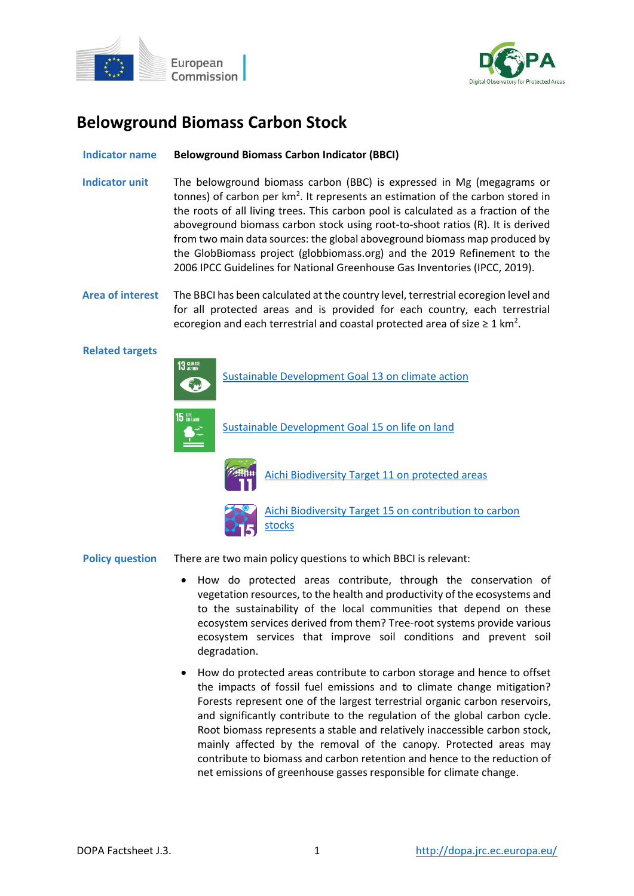



# **Belowground Biomass Carbon Stock**

# **Indicator name Belowground Biomass Carbon Indicator (BBCI)**

- **Indicator unit** The belowground biomass carbon (BBC) is expressed in Mg (megagrams or tonnes) of carbon per km<sup>2</sup>. It represents an estimation of the carbon stored in the roots of all living trees. This carbon pool is calculated as a fraction of the aboveground biomass carbon stock using root-to-shoot ratios (R). It is derived from two main data sources: the global aboveground biomass map produced by the GlobBiomass project (globbiomass.org) and the 2019 Refinement to the 2006 IPCC Guidelines for National Greenhouse Gas Inventories (IPCC, 2019).
- **Area of interest** The BBCI has been calculated at the country level, terrestrial ecoregion level and for all protected areas and is provided for each country, each terrestrial ecoregion and each terrestrial and coastal protected area of size  $\geq 1$  km<sup>2</sup>.

#### **Related targets**





[Aichi Biodiversity Target 11 on protected areas](http://www.cbd.int/sp/targets/rationale/target-11/)



[Aichi Biodiversity Target 15 on contribution to carbon](http://www.cbd.int/sp/targets/rationale/target-15/)  [stocks](http://www.cbd.int/sp/targets/rationale/target-15/)

**Policy question** There are two main policy questions to which BBCI is relevant:

- How do protected areas contribute, through the conservation of vegetation resources, to the health and productivity of the ecosystems and to the sustainability of the local communities that depend on these ecosystem services derived from them? Tree-root systems provide various ecosystem services that improve soil conditions and prevent soil degradation.
- How do protected areas contribute to carbon storage and hence to offset the impacts of fossil fuel emissions and to climate change mitigation? Forests represent one of the largest terrestrial organic carbon reservoirs, and significantly contribute to the regulation of the global carbon cycle. Root biomass represents a stable and relatively inaccessible carbon stock, mainly affected by the removal of the canopy. Protected areas may contribute to biomass and carbon retention and hence to the reduction of net emissions of greenhouse gasses responsible for climate change.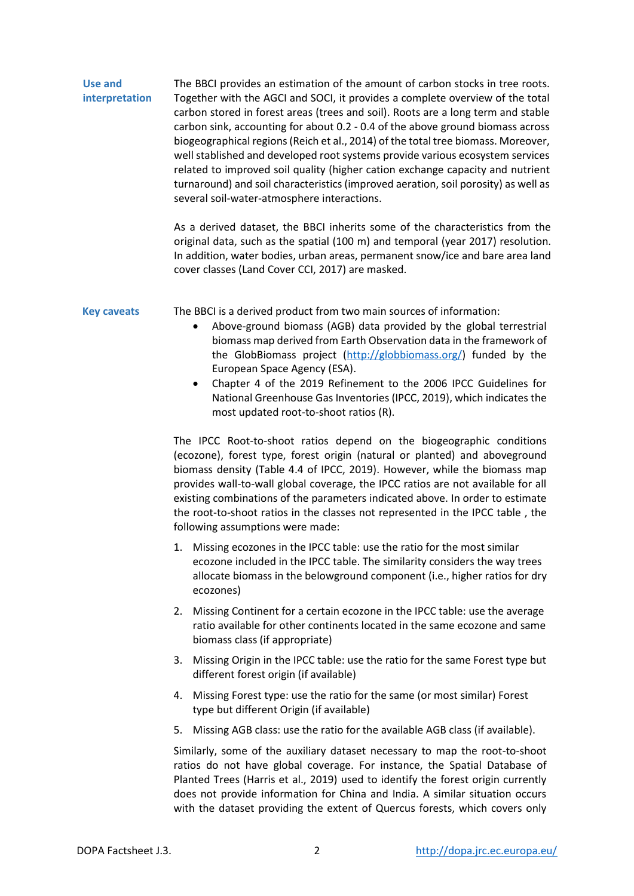**Use and interpretation** The BBCI provides an estimation of the amount of carbon stocks in tree roots. Together with the AGCI and SOCI, it provides a complete overview of the total carbon stored in forest areas (trees and soil). Roots are a long term and stable carbon sink, accounting for about 0.2 - 0.4 of the above ground biomass across biogeographical regions(Reich et al., 2014) of the total tree biomass. Moreover, well stablished and developed root systems provide various ecosystem services related to improved soil quality (higher cation exchange capacity and nutrient turnaround) and soil characteristics (improved aeration, soil porosity) as well as several soil-water-atmosphere interactions.

> As a derived dataset, the BBCI inherits some of the characteristics from the original data, such as the spatial (100 m) and temporal (year 2017) resolution. In addition, water bodies, urban areas, permanent snow/ice and bare area land cover classes (Land Cover CCI, 2017) are masked.

**Key caveats** The BBCI is a derived product from two main sources of information:

- Above-ground biomass (AGB) data provided by the global terrestrial biomass map derived from Earth Observation data in the framework of the GlobBiomass project [\(http://globbiomass.org/\)](http://globbiomass.org/) funded by the European Space Agency (ESA).
- Chapter 4 of the 2019 Refinement to the 2006 IPCC Guidelines for National Greenhouse Gas Inventories (IPCC, 2019), which indicates the most updated root-to-shoot ratios (R).

The IPCC Root-to-shoot ratios depend on the biogeographic conditions (ecozone), forest type, forest origin (natural or planted) and aboveground biomass density (Table 4.4 of IPCC, 2019). However, while the biomass map provides wall-to-wall global coverage, the IPCC ratios are not available for all existing combinations of the parameters indicated above. In order to estimate the root-to-shoot ratios in the classes not represented in the IPCC table , the following assumptions were made:

- 1. Missing ecozones in the IPCC table: use the ratio for the most similar ecozone included in the IPCC table. The similarity considers the way trees allocate biomass in the belowground component (i.e., higher ratios for dry ecozones)
- 2. Missing Continent for a certain ecozone in the IPCC table: use the average ratio available for other continents located in the same ecozone and same biomass class (if appropriate)
- 3. Missing Origin in the IPCC table: use the ratio for the same Forest type but different forest origin (if available)
- 4. Missing Forest type: use the ratio for the same (or most similar) Forest type but different Origin (if available)
- 5. Missing AGB class: use the ratio for the available AGB class (if available).

Similarly, some of the auxiliary dataset necessary to map the root-to-shoot ratios do not have global coverage. For instance, the Spatial Database of Planted Trees (Harris et al., 2019) used to identify the forest origin currently does not provide information for China and India. A similar situation occurs with the dataset providing the extent of Quercus forests, which covers only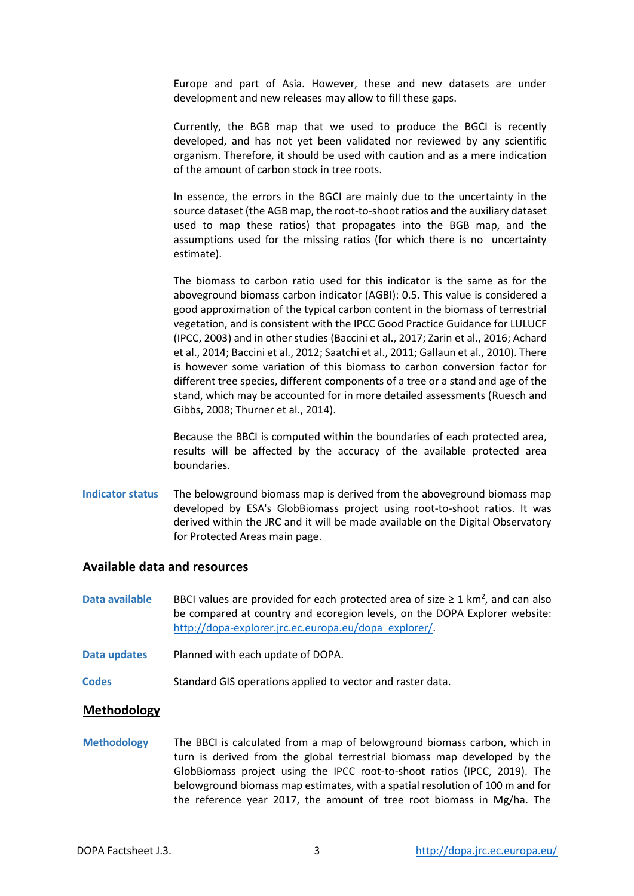Europe and part of Asia. However, these and new datasets are under development and new releases may allow to fill these gaps.

Currently, the BGB map that we used to produce the BGCI is recently developed, and has not yet been validated nor reviewed by any scientific organism. Therefore, it should be used with caution and as a mere indication of the amount of carbon stock in tree roots.

In essence, the errors in the BGCI are mainly due to the uncertainty in the source dataset (the AGB map, the root-to-shoot ratios and the auxiliary dataset used to map these ratios) that propagates into the BGB map, and the assumptions used for the missing ratios (for which there is no uncertainty estimate).

The biomass to carbon ratio used for this indicator is the same as for the aboveground biomass carbon indicator (AGBI): 0.5. This value is considered a good approximation of the typical carbon content in the biomass of terrestrial vegetation, and is consistent with the IPCC Good Practice Guidance for LULUCF (IPCC, 2003) and in other studies (Baccini et al., 2017; Zarin et al., 2016; Achard et al., 2014; Baccini et al., 2012; Saatchi et al., 2011; Gallaun et al., 2010). There is however some variation of this biomass to carbon conversion factor for different tree species, different components of a tree or a stand and age of the stand, which may be accounted for in more detailed assessments (Ruesch and Gibbs, 2008; Thurner et al., 2014).

Because the BBCI is computed within the boundaries of each protected area, results will be affected by the accuracy of the available protected area boundaries.

**Indicator status** The belowground biomass map is derived from the aboveground biomass map developed by ESA's GlobBiomass project using root-to-shoot ratios. It was derived within the JRC and it will be made available on the Digital Observatory for Protected Areas main page.

# **Available data and resources**

- Data available BBCI values are provided for each protected area of size ≥ 1 km<sup>2</sup>, and can also be compared at country and ecoregion levels, on the DOPA Explorer website: [http://dopa-explorer.jrc.ec.europa.eu/dopa\\_explorer/.](http://dopa-explorer.jrc.ec.europa.eu/dopa_explorer/)
- **Data updates** Planned with each update of DOPA.
- **Codes** Standard GIS operations applied to vector and raster data.

## **Methodology**

**Methodology** The BBCI is calculated from a map of belowground biomass carbon, which in turn is derived from the global terrestrial biomass map developed by the GlobBiomass project using the IPCC root-to-shoot ratios (IPCC, 2019). The belowground biomass map estimates, with a spatial resolution of 100 m and for the reference year 2017, the amount of tree root biomass in Mg/ha. The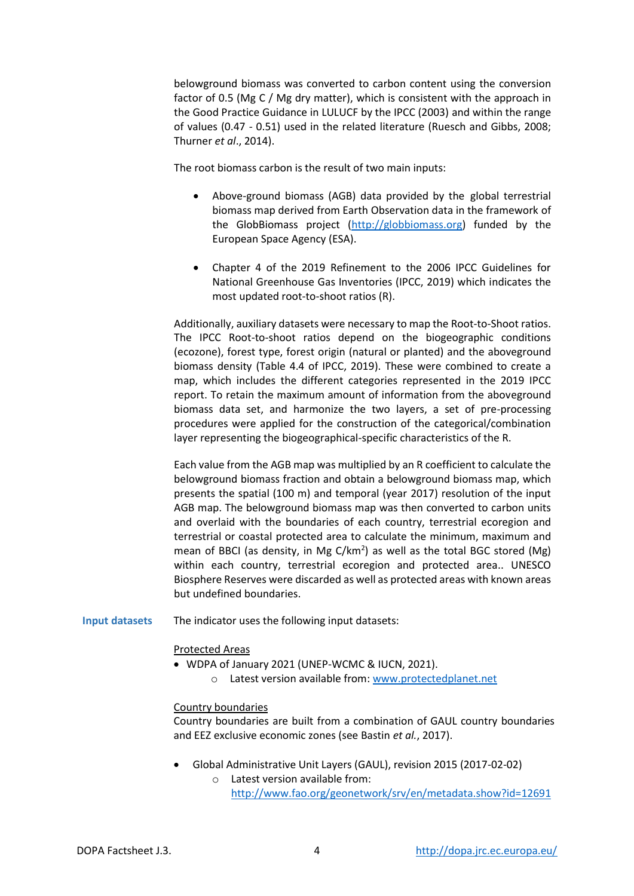belowground biomass was converted to carbon content using the conversion factor of 0.5 (Mg C / Mg dry matter), which is consistent with the approach in the Good Practice Guidance in LULUCF by the IPCC (2003) and within the range of values (0.47 - 0.51) used in the related literature (Ruesch and Gibbs, 2008; Thurner *et al*., 2014).

The root biomass carbon is the result of two main inputs:

- Above-ground biomass (AGB) data provided by the global terrestrial biomass map derived from Earth Observation data in the framework of the GlobBiomass project [\(http://globbiomass.org\)](http://globbiomass.org/) funded by the European Space Agency (ESA).
- Chapter 4 of the 2019 Refinement to the 2006 IPCC Guidelines for National Greenhouse Gas Inventories (IPCC, 2019) which indicates the most updated root-to-shoot ratios (R).

Additionally, auxiliary datasets were necessary to map the Root-to-Shoot ratios. The IPCC Root-to-shoot ratios depend on the biogeographic conditions (ecozone), forest type, forest origin (natural or planted) and the aboveground biomass density (Table 4.4 of IPCC, 2019). These were combined to create a map, which includes the different categories represented in the 2019 IPCC report. To retain the maximum amount of information from the aboveground biomass data set, and harmonize the two layers, a set of pre-processing procedures were applied for the construction of the categorical/combination layer representing the biogeographical-specific characteristics of the R.

Each value from the AGB map was multiplied by an R coefficient to calculate the belowground biomass fraction and obtain a belowground biomass map, which presents the spatial (100 m) and temporal (year 2017) resolution of the input AGB map. The belowground biomass map was then converted to carbon units and overlaid with the boundaries of each country, terrestrial ecoregion and terrestrial or coastal protected area to calculate the minimum, maximum and mean of BBCI (as density, in Mg C/km<sup>2</sup>) as well as the total BGC stored (Mg) within each country, terrestrial ecoregion and protected area.. UNESCO Biosphere Reserves were discarded as well as protected areas with known areas but undefined boundaries.

**Input datasets** The indicator uses the following input datasets:

## Protected Areas

- WDPA of January 2021 (UNEP-WCMC & IUCN, 2021).
	- o Latest version available from: [www.protectedplanet.net](http://www.protectedplanet.net/)

#### Country boundaries

Country boundaries are built from a combination of GAUL country boundaries and EEZ exclusive economic zones (see Bastin *et al.*, 2017).

- Global Administrative Unit Layers (GAUL), revision 2015 (2017-02-02)
	- o Latest version available from: <http://www.fao.org/geonetwork/srv/en/metadata.show?id=12691>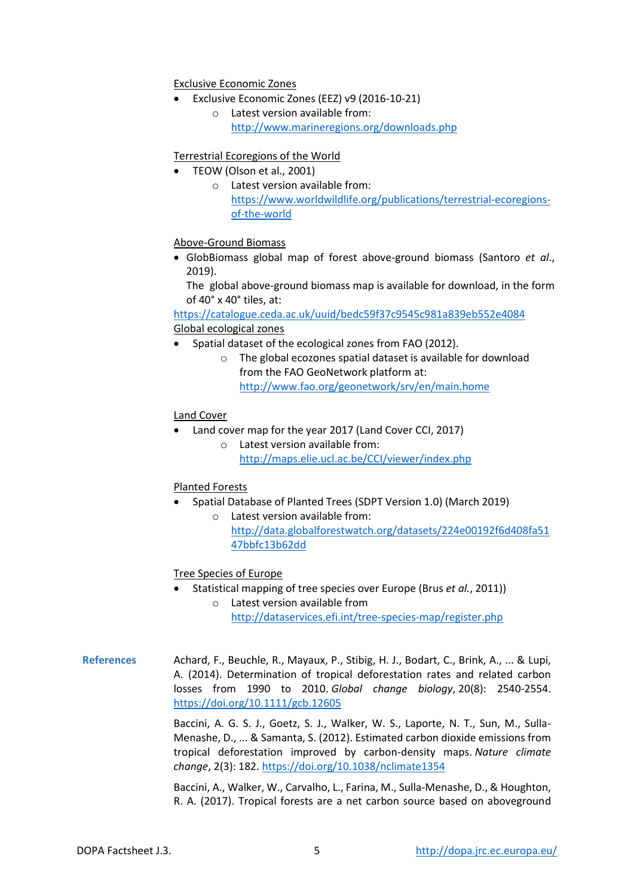Exclusive Economic Zones

- Exclusive Economic Zones (EEZ) v9 (2016-10-21)
	- o Latest version available from: <http://www.marineregions.org/downloads.php>

# Terrestrial Ecoregions of the World

- TEOW (Olson et al., 2001)
	- o Latest version available from: [https://www.worldwildlife.org/publications/terrestrial-ecoregions](https://www.worldwildlife.org/publications/terrestrial-ecoregions-of-the-world)[of-the-world](https://www.worldwildlife.org/publications/terrestrial-ecoregions-of-the-world)

# Above-Ground Biomass

 GlobBiomass global map of forest above-ground biomass (Santoro *et al*., 2019).

The global above-ground biomass map is available for download, in the form of 40° x 40° tiles, at:

<https://catalogue.ceda.ac.uk/uuid/bedc59f37c9545c981a839eb552e4084> Global ecological zones

- Spatial dataset of the ecological zones from FAO (2012).
	- o The global ecozones spatial dataset is available for download from the FAO GeoNetwork platform at: <http://www.fao.org/geonetwork/srv/en/main.home>

# Land Cover

- Land cover map for the year 2017 (Land Cover CCI, 2017)
	- o Latest version available from: <http://maps.elie.ucl.ac.be/CCI/viewer/index.php>

## Planted Forests

- Spatial Database of Planted Trees (SDPT Version 1.0) (March 2019)
	- o Latest version available from: [http://data.globalforestwatch.org/datasets/224e00192f6d408fa51](http://data.globalforestwatch.org/datasets/224e00192f6d408fa5147bbfc13b62dd) [47bbfc13b62dd](http://data.globalforestwatch.org/datasets/224e00192f6d408fa5147bbfc13b62dd)

## Tree Species of Europe

- Statistical mapping of tree species over Europe (Brus *et al.*, 2011))
	- o Latest version available from <http://dataservices.efi.int/tree-species-map/register.php>
- **References** Achard, F., Beuchle, R., Mayaux, P., Stibig, H. J., Bodart, C., Brink, A., ... & Lupi, A. (2014). Determination of tropical deforestation rates and related carbon losses from 1990 to 2010. *Global change biology*, 20(8): 2540-2554. <https://doi.org/10.1111/gcb.12605>

Baccini, A. G. S. J., Goetz, S. J., Walker, W. S., Laporte, N. T., Sun, M., Sulla-Menashe, D., ... & Samanta, S. (2012). Estimated carbon dioxide emissions from tropical deforestation improved by carbon-density maps. *Nature climate change*, 2(3): 182. <https://doi.org/10.1038/nclimate1354>

Baccini, A., Walker, W., Carvalho, L., Farina, M., Sulla-Menashe, D., & Houghton, R. A. (2017). Tropical forests are a net carbon source based on aboveground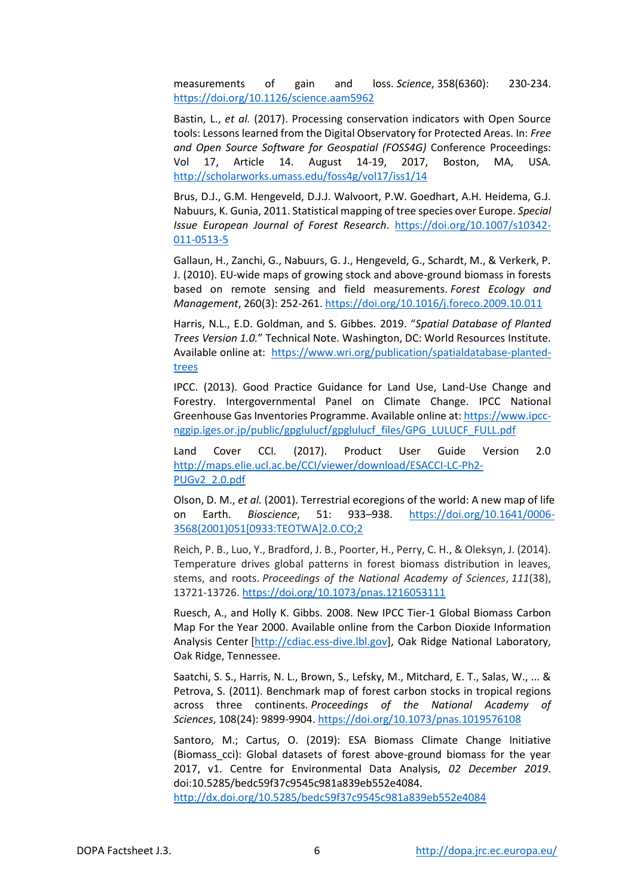measurements of gain and loss. *Science*, 358(6360): 230-234. <https://doi.org/10.1126/science.aam5962>

Bastin, L., *et al.* (2017). Processing conservation indicators with Open Source tools: Lessons learned from the Digital Observatory for Protected Areas. In: *Free and Open Source Software for Geospatial (FOSS4G)* Conference Proceedings: Vol 17, Article 14. August 14-19, 2017, Boston, MA, USA. <http://scholarworks.umass.edu/foss4g/vol17/iss1/14>

Brus, D.J., G.M. Hengeveld, D.J.J. Walvoort, P.W. Goedhart, A.H. Heidema, G.J. Nabuurs, K. Gunia, 2011. Statistical mapping of tree species over Europe. *Special Issue European Journal of Forest Research*. https://doi.org/10.1007/s10342- 011-0513-5

Gallaun, H., Zanchi, G., Nabuurs, G. J., Hengeveld, G., Schardt, M., & Verkerk, P. J. (2010). EU-wide maps of growing stock and above-ground biomass in forests based on remote sensing and field measurements. *Forest Ecology and Management*, 260(3): 252-261[. https://doi.org/10.1016/j.foreco.2009.10.011](https://doi.org/10.1016/j.foreco.2009.10.011)

Harris, N.L., E.D. Goldman, and S. Gibbes. 2019. "*Spatial Database of Planted Trees Version 1.0.*" Technical Note. Washington, DC: World Resources Institute. Available online at: [https://www.wri.org/publication/spatialdatabase-planted](https://www.wri.org/publication/spatialdatabase-planted-trees)[trees](https://www.wri.org/publication/spatialdatabase-planted-trees)

IPCC. (2013). Good Practice Guidance for Land Use, Land-Use Change and Forestry. Intergovernmental Panel on Climate Change. IPCC National Greenhouse Gas Inventories Programme. Available online at[: https://www.ipcc](https://www.ipcc-nggip.iges.or.jp/public/gpglulucf/gpglulucf_files/GPG_LULUCF_FULL.pdf)[nggip.iges.or.jp/public/gpglulucf/gpglulucf\\_files/GPG\\_LULUCF\\_FULL.pdf](https://www.ipcc-nggip.iges.or.jp/public/gpglulucf/gpglulucf_files/GPG_LULUCF_FULL.pdf)

Land Cover CCI. (2017). Product User Guide Version 2.0 [http://maps.elie.ucl.ac.be/CCI/viewer/download/ESACCI-LC-Ph2-](http://maps.elie.ucl.ac.be/CCI/viewer/download/ESACCI-LC-Ph2-PUGv2_2.0.pdf) [PUGv2\\_2.0.pdf](http://maps.elie.ucl.ac.be/CCI/viewer/download/ESACCI-LC-Ph2-PUGv2_2.0.pdf)

Olson, D. M., *et al.* (2001). Terrestrial ecoregions of the world: A new map of life on Earth. *Bioscience*, 51: 933–938. [https://doi.org/10.1641/0006-](https://doi.org/10.1641/0006-3568(2001)051%5b0933:TEOTWA%5d2.0.CO;2) [3568\(2001\)051\[0933:TEOTWA\]2.0.CO;2](https://doi.org/10.1641/0006-3568(2001)051%5b0933:TEOTWA%5d2.0.CO;2) 

Reich, P. B., Luo, Y., Bradford, J. B., Poorter, H., Perry, C. H., & Oleksyn, J. (2014). Temperature drives global patterns in forest biomass distribution in leaves, stems, and roots. *Proceedings of the National Academy of Sciences*, *111*(38), 13721-13726[. https://doi.org/10.1073/pnas.1216053111](https://doi.org/10.1073/pnas.1216053111)

Ruesch, A., and Holly K. Gibbs. 2008. New IPCC Tier-1 Global Biomass Carbon Map For the Year 2000. Available online from the Carbon Dioxide Information Analysis Center [\[http://cdiac.ess-dive.lbl.gov\]](https://cdiac.ess-dive.lbl.gov/), Oak Ridge National Laboratory, Oak Ridge, Tennessee.

Saatchi, S. S., Harris, N. L., Brown, S., Lefsky, M., Mitchard, E. T., Salas, W., ... & Petrova, S. (2011). Benchmark map of forest carbon stocks in tropical regions across three continents. *Proceedings of the National Academy of Sciences*, 108(24): 9899-9904[. https://doi.org/10.1073/pnas.1019576108](https://doi.org/10.1073/pnas.1019576108)

Santoro, M.; Cartus, O. (2019): ESA Biomass Climate Change Initiative (Biomass cci): Global datasets of forest above-ground biomass for the year 2017, v1. Centre for Environmental Data Analysis, *02 December 2019*. doi:10.5285/bedc59f37c9545c981a839eb552e4084.

<http://dx.doi.org/10.5285/bedc59f37c9545c981a839eb552e4084>